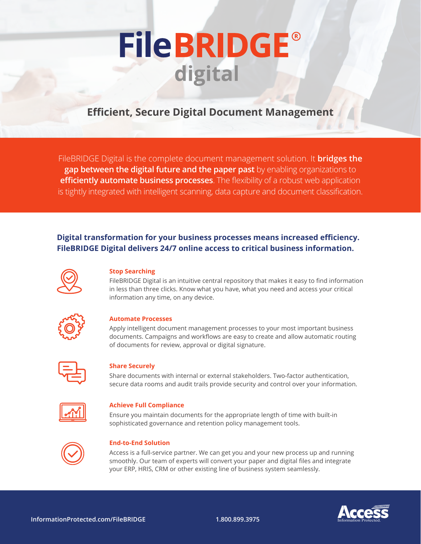# **FileBRIDGE®** digital

## **Efficient, Secure Digital Document Management**

FileBRIDGE Digital is the complete document management solution. It **bridges the gap between the digital future and the paper past** by enabling organizations to **efficiently automate business processes**. The flexibility of a robust web application is tightly integrated with intelligent scanning, data capture and document classification.

### **Digital transformation for your business processes means increased efficiency. FileBRIDGE Digital delivers 24/7 online access to critical business information.**



#### **Stop Searching**

FileBRIDGE Digital is an intuitive central repository that makes it easy to find information in less than three clicks. Know what you have, what you need and access your critical information any time, on any device.



#### **Automate Processes**

Apply intelligent document management processes to your most important business documents. Campaigns and workflows are easy to create and allow automatic routing of documents for review, approval or digital signature.



#### **Share Securely**

Share documents with internal or external stakeholders. Two-factor authentication, secure data rooms and audit trails provide security and control over your information.



#### **Achieve Full Compliance**

Ensure you maintain documents for the appropriate length of time with built-in sophisticated governance and retention policy management tools.



#### **End-to-End Solution**

Access is a full-service partner. We can get you and your new process up and running smoothly. Our team of experts will convert your paper and digital files and integrate your ERP, HRIS, CRM or other existing line of business system seamlessly.